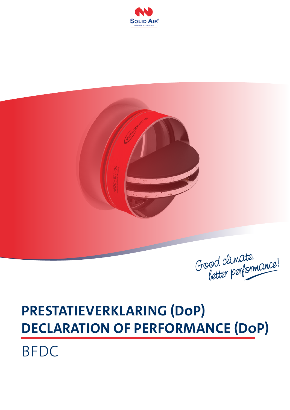



Good climate.<br>better performance!

## **PRESTATIEVERKLARING (DoP) DECLARATION OF PERFORMANCE (DoP)**

BFDC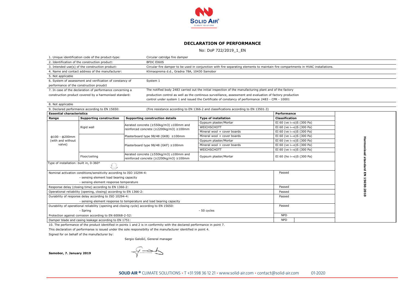

## **DECLARATION OF PERFORMANCE**

No: DoP 722/2019\_1\_EN

|                                                                      | 1. Unique identification code of the product-type:                  | Circular catridge fire damper                                                            |                                                                                                                                   |                                             |        |  |  |
|----------------------------------------------------------------------|---------------------------------------------------------------------|------------------------------------------------------------------------------------------|-----------------------------------------------------------------------------------------------------------------------------------|---------------------------------------------|--------|--|--|
|                                                                      | 2. Identification of the construction product:                      | <b>BFDC EI60S</b>                                                                        |                                                                                                                                   |                                             |        |  |  |
|                                                                      | 3. Intended use(s) of the construction product:                     |                                                                                          | Circular fire damper to be used in conjunction with fire separating elements to maintain fire compartments in HVAC installations. |                                             |        |  |  |
|                                                                      | 4. Name and contact address of the manufacturer:                    |                                                                                          | Klimaoprema d.d., Gradna 78A, 10430 Samobor                                                                                       |                                             |        |  |  |
| 5. Not applicable                                                    |                                                                     |                                                                                          |                                                                                                                                   |                                             |        |  |  |
| 6. System of assessment and verification of constancy of<br>System 1 |                                                                     |                                                                                          |                                                                                                                                   |                                             |        |  |  |
|                                                                      | performance of the construction proudct                             |                                                                                          |                                                                                                                                   |                                             |        |  |  |
|                                                                      | 7. In case of the declaration of performance concerning a           |                                                                                          | The notified body 2483 carried out the initial inspection of the manufacturing plant and of the factory                           |                                             |        |  |  |
|                                                                      | construction product covered by a harmonised standard:              |                                                                                          | production control as well as the continous surveillance, assessment and evaluation of factory production                         |                                             |        |  |  |
|                                                                      |                                                                     |                                                                                          | control under system 1 and issued the Certificate of constancy of performance 2483 - CPR - 10001                                  |                                             |        |  |  |
| 8. Not applicable                                                    |                                                                     |                                                                                          |                                                                                                                                   |                                             |        |  |  |
|                                                                      | 9. Declared performance according to EN 15650:                      |                                                                                          | (Fire resistance according to EN 1366-2 and classifications according to EN 13501-3)                                              |                                             |        |  |  |
| <b>Essential characteristics</b>                                     |                                                                     |                                                                                          |                                                                                                                                   | Performance                                 |        |  |  |
| Range                                                                | <b>Supporting construction</b>                                      | Supporting construction details                                                          | <b>Type of installation</b>                                                                                                       | <b>Classification</b>                       |        |  |  |
|                                                                      |                                                                     | Aerated concrete (≥550kg/m3) ≥100mm and                                                  | Gypsum plaster/Mortar                                                                                                             | EI 60 (ve i↔o)S (300 Pa)                    |        |  |  |
|                                                                      | Rigid wall                                                          | reinforced concrete (≥2200kg/m3) ≥100mm                                                  | WEICHSCHOTT                                                                                                                       | EI 60 (ve i $\leftrightarrow$ o)S (300 Pa)  |        |  |  |
|                                                                      |                                                                     |                                                                                          | Mineral wool + cover boards                                                                                                       | EI 60 (ve i $\leftrightarrow$ o)S (300 Pa)  |        |  |  |
| $\phi$ 100 - $\phi$ 200mm                                            |                                                                     | Plasterboard type 98/48 (GKB) ≥100mm                                                     | Mineral wool + cover boards                                                                                                       | EI 60 (ve i $\leftrightarrow$ o)S (300 Pa)  |        |  |  |
| (with and without                                                    |                                                                     |                                                                                          | Gypsum plaster/Mortar                                                                                                             | EI 60 (ve i $\leftrightarrow$ o)S (300 Pa)  |        |  |  |
| valve)                                                               |                                                                     | Plasterboard type 98/48 (GKF) ≥100mm                                                     | Mineral wool + cover boards                                                                                                       | EI 60 (ve i↔o)S (300 Pa)                    |        |  |  |
|                                                                      |                                                                     |                                                                                          | WEICHSCHOTT                                                                                                                       | EI 60 (ve i $\leftrightarrow$ o)S (300 Pa)  |        |  |  |
|                                                                      | Floor/ceiling                                                       | Aerated concrete (≥550kg/m3) ≥100mm and<br>reinforced concrete (≥2200kg/m3) ≥100mm       | Gypsum plaster/Mortar                                                                                                             | EI 60 (ho $i \leftrightarrow o$ )S (300 Pa) |        |  |  |
| Type of installation: built in, 0-360°                               | 赵                                                                   |                                                                                          |                                                                                                                                   |                                             |        |  |  |
|                                                                      | Nominal activation conditions/sensitivity according to ISO 10294-4: |                                                                                          |                                                                                                                                   | Passed                                      | ó<br>ш |  |  |
|                                                                      | - sensing element load bearing capacity                             |                                                                                          |                                                                                                                                   |                                             | z      |  |  |
|                                                                      | - sensing element response temperature                              |                                                                                          |                                                                                                                                   |                                             |        |  |  |
|                                                                      | Response delay (closing time) according to EN 1366-2:               |                                                                                          | Passed                                                                                                                            | 15650:2010                                  |        |  |  |
|                                                                      | Operational reliability (opening, closing) according to EN 1366-2:  |                                                                                          | Passed                                                                                                                            |                                             |        |  |  |
|                                                                      | Durability of response delay according to ISO 10294-4:              |                                                                                          | Passed                                                                                                                            |                                             |        |  |  |
|                                                                      |                                                                     | - sensing element response to temperature and load bearing capacity                      |                                                                                                                                   |                                             |        |  |  |
|                                                                      |                                                                     | Durability of operational reliability (opening and closing cycle) according to EN 15650: |                                                                                                                                   | Passed                                      |        |  |  |
|                                                                      | - Spring                                                            |                                                                                          |                                                                                                                                   |                                             |        |  |  |
|                                                                      | Protection against corrosion according to EN 60068-2-52:            |                                                                                          | <b>NPD</b>                                                                                                                        |                                             |        |  |  |
|                                                                      | Damper blade and casing leakage according to EN 1751:               |                                                                                          | <b>NPD</b>                                                                                                                        |                                             |        |  |  |

10. The performance of the product identified in points 1 and 2 is in conformity with the declared performance in point 7.

This declaration of performanse is issued under the sole responsibilty of the manufacturer identified in point 4.

Signed for on behalf of the manufacturer by:

Sergio Galošić, General manager

 **Samobor, 7. January 2019**

 $\sqrt{200}$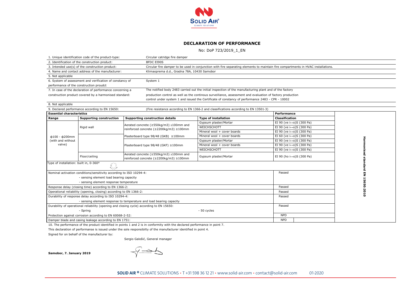

## **DECLARATION OF PERFORMANCE**

No: DoP 723/2019\_1\_EN

|                                                                      | 1. Unique identification code of the product-type:                  | Circular catridge fire damper                                                            |                                                                                                                                   |                                             |   |  |  |
|----------------------------------------------------------------------|---------------------------------------------------------------------|------------------------------------------------------------------------------------------|-----------------------------------------------------------------------------------------------------------------------------------|---------------------------------------------|---|--|--|
|                                                                      | 2. Identification of the construction product:                      | <b>BFDC EI90S</b>                                                                        |                                                                                                                                   |                                             |   |  |  |
|                                                                      | 3. Intended use(s) of the construction product:                     |                                                                                          | Circular fire damper to be used in conjunction with fire separating elements to maintain fire compartments in HVAC installations. |                                             |   |  |  |
|                                                                      | 4. Name and contact address of the manufacturer:                    |                                                                                          | Klimaoprema d.d., Gradna 78A, 10430 Samobor                                                                                       |                                             |   |  |  |
| 5. Not applicable                                                    |                                                                     |                                                                                          |                                                                                                                                   |                                             |   |  |  |
| 6. System of assessment and verification of constancy of<br>System 1 |                                                                     |                                                                                          |                                                                                                                                   |                                             |   |  |  |
|                                                                      | performance of the construction proudct                             |                                                                                          |                                                                                                                                   |                                             |   |  |  |
|                                                                      | 7. In case of the declaration of performance concerning a           |                                                                                          | The notified body 2483 carried out the initial inspection of the manufacturing plant and of the factory                           |                                             |   |  |  |
|                                                                      | construction product covered by a harmonised standard:              |                                                                                          | production control as well as the continous surveillance, assessment and evaluation of factory production                         |                                             |   |  |  |
|                                                                      |                                                                     |                                                                                          | control under system 1 and issued the Certificate of constancy of performance 2483 - CPR - 10002                                  |                                             |   |  |  |
| 8. Not applicable                                                    |                                                                     |                                                                                          |                                                                                                                                   |                                             |   |  |  |
|                                                                      | 9. Declared performance according to EN 15650:                      |                                                                                          | (Fire resistance according to EN 1366-2 and classifications according to EN 13501-3)                                              |                                             |   |  |  |
| <b>Essential characteristics</b>                                     |                                                                     |                                                                                          |                                                                                                                                   | Performance                                 |   |  |  |
| Range                                                                | <b>Supporting construction</b>                                      | Supporting construction details                                                          | <b>Type of installation</b>                                                                                                       | <b>Classification</b>                       |   |  |  |
|                                                                      |                                                                     | Aerated concrete (≥550kg/m3) ≥100mm and<br>reinforced concrete (≥2200kg/m3) ≥100mm       | Gypsum plaster/Mortar                                                                                                             | EI 90 (ve $i \leftrightarrow o$ )S (300 Pa) |   |  |  |
|                                                                      | Rigid wall                                                          |                                                                                          | WEICHSCHOTT                                                                                                                       | EI 90 (ve i↔o)S (300 Pa)                    |   |  |  |
|                                                                      |                                                                     |                                                                                          | Mineral wool + cover boards                                                                                                       | EI 90 (ve i↔o)S (300 Pa)                    |   |  |  |
| $\phi$ 100 - $\phi$ 200mm                                            |                                                                     | Plasterboard type 98/48 (GKB) ≥100mm                                                     | Mineral wool + cover boards                                                                                                       | EI 60 (ve $i \leftrightarrow o$ )S (300 Pa) |   |  |  |
| (with and without                                                    |                                                                     |                                                                                          | Gypsum plaster/Mortar                                                                                                             | EI 90 (ve i↔o)S (300 Pa)                    |   |  |  |
| valve)                                                               |                                                                     | Plasterboard type 98/48 (GKF) ≥100mm                                                     | Mineral wool + cover boards                                                                                                       | EI 90 (ve i↔o)S (300 Pa)                    |   |  |  |
|                                                                      |                                                                     |                                                                                          | WEICHSCHOTT                                                                                                                       | EI 90 (ve $i\leftrightarrow o$ )S (300 Pa)  |   |  |  |
|                                                                      | Floor/ceiling                                                       | Aerated concrete (≥550kg/m3) ≥100mm and<br>reinforced concrete (≥2200kg/m3) ≥100mm       | Gypsum plaster/Mortar                                                                                                             | EI 90 (ho $i\leftrightarrow o$ )S (300 Pa)  |   |  |  |
| Type of installation: built in, 0-360°                               | L)                                                                  |                                                                                          |                                                                                                                                   |                                             |   |  |  |
|                                                                      | Nominal activation conditions/sensitivity according to ISO 10294-4: |                                                                                          |                                                                                                                                   | Passed                                      |   |  |  |
|                                                                      | - sensing element load bearing capacity                             |                                                                                          |                                                                                                                                   |                                             | z |  |  |
|                                                                      | - sensing element response temperature                              |                                                                                          |                                                                                                                                   |                                             |   |  |  |
|                                                                      | Response delay (closing time) according to EN 1366-2:               |                                                                                          | Passed                                                                                                                            | 5650:2010                                   |   |  |  |
|                                                                      | Operational reliability (opening, closing) according to EN 1366-2:  |                                                                                          | Passed                                                                                                                            |                                             |   |  |  |
|                                                                      | Durability of response delay according to ISO 10294-4:              |                                                                                          | Passed                                                                                                                            |                                             |   |  |  |
|                                                                      |                                                                     | - sensing element response to temperature and load bearing capacity                      |                                                                                                                                   |                                             |   |  |  |
|                                                                      |                                                                     | Durability of operational reliability (opening and closing cycle) according to EN 15650: |                                                                                                                                   | Passed                                      |   |  |  |
|                                                                      | - Spring                                                            |                                                                                          |                                                                                                                                   |                                             |   |  |  |
|                                                                      | Protection against corrosion according to EN 60068-2-52:            |                                                                                          | <b>NPD</b>                                                                                                                        |                                             |   |  |  |
|                                                                      | Damper blade and casing leakage according to EN 1751:               |                                                                                          | <b>NPD</b>                                                                                                                        |                                             |   |  |  |

10. The performance of the product identified in points 1 and 2 is in conformity with the declared performance in point 7.

This declaration of performanse is issued under the sole responsibilty of the manufacturer identified in point 4.

Signed for on behalf of the manufacturer by:

Sergio Galošić, General manager

 **Samobor, 7. January 2019**

 $\sqrt{2}$